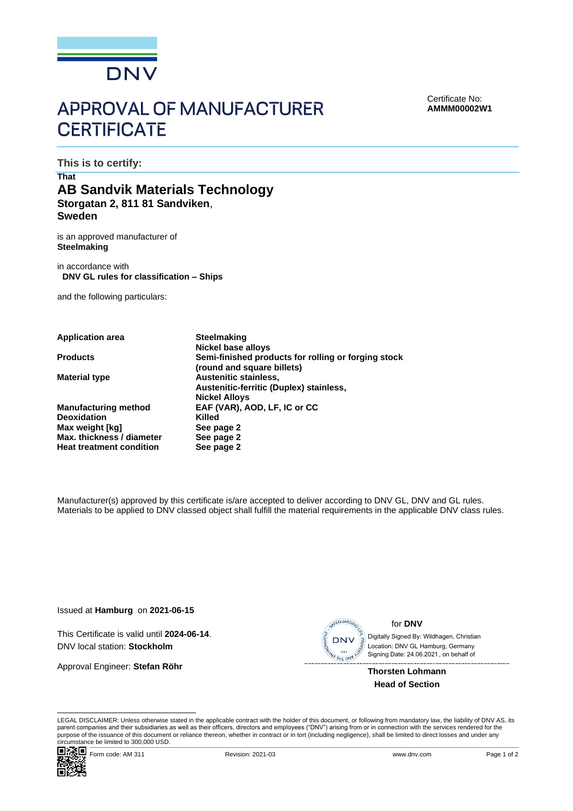

## **APPROVAL OF MANUFACTURER CERTIFICATE**

Certificate No: **AMMM00002W1**

**This is to certify:**

## **That AB Sandvik Materials Technology Storgatan 2, 811 81 Sandviken**, **Sweden**

is an approved manufacturer of **Steelmaking**

in accordance with **DNV GL rules for classification – Ships**

and the following particulars:

**Application area Steelmaking Nickel base alloys Products Semi-finished products for rolling or forging stock (round and square billets) Material type <b>Austenitic stainless**, **Austenitic-ferritic (Duplex) stainless, Nickel Alloys Manufacturing method EAF (VAR), AOD, LF, IC or CC Deoxidation**<br> **Max** weight [kg] **Allendary See page 2 Max weight [kg] Max. thickness / diameter See page 2 Heat treatment condition See page 2**

Manufacturer(s) approved by this certificate is/are accepted to deliver according to DNV GL, DNV and GL rules. Materials to be applied to DNV classed object shall fulfill the material requirements in the applicable DNV class rules.

Issued at **Hamburg** on **2021-06-15**

This Certificate is valid until **2024-06-14**. DNV local station: **Stockholm**

Approval Engineer: **Stefan Röhr**



for **DNV**

 Signing Date: 24.06.2021 , on behalf ofDigitally Signed By: Wildhagen, Christian Location: DNV GL Hamburg, Germany

**Thorsten Lohmann Head of Section**

LEGAL DISCLAIMER: Unless otherwise stated in the applicable contract with the holder of this document, or following from mandatory law, the liability of DNV AS, its parent companies and their subsidiaries as well as their officers, directors and employees ("DNV") arising from or in connection with the services rendered for the purpose of the issuance of this document or reliance thereon, whether in contract or in tort (including negligence), shall be limited to direct losses and under any circumstance be limited to 300,000 USD.